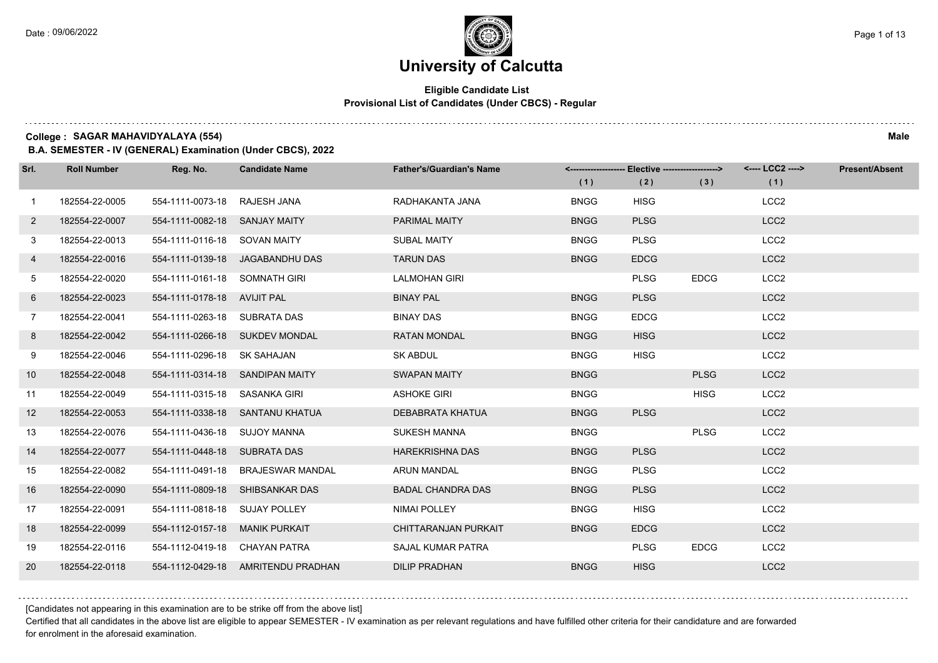### **Eligible Candidate List Provisional List of Candidates (Under CBCS) - Regular**

**College : SAGAR MAHAVIDYALAYA (554) Male**

**B.A. SEMESTER - IV (GENERAL) Examination (Under CBCS), 2022**

| Srl.         | <b>Roll Number</b> | Reg. No.                       | <b>Candidate Name</b>              | <b>Father's/Guardian's Name</b> | (1)         | <------------------- Elective ------------------><br>(2) | (3)         | <---- LCC2 ----><br>(1) | <b>Present/Absent</b> |
|--------------|--------------------|--------------------------------|------------------------------------|---------------------------------|-------------|----------------------------------------------------------|-------------|-------------------------|-----------------------|
| $\mathbf{1}$ | 182554-22-0005     | 554-1111-0073-18 RAJESH JANA   |                                    | RADHAKANTA JANA                 | <b>BNGG</b> | <b>HISG</b>                                              |             | LCC <sub>2</sub>        |                       |
| $2^{\circ}$  | 182554-22-0007     | 554-1111-0082-18 SANJAY MAITY  |                                    | <b>PARIMAL MAITY</b>            | <b>BNGG</b> | <b>PLSG</b>                                              |             | LCC <sub>2</sub>        |                       |
| 3            | 182554-22-0013     | 554-1111-0116-18 SOVAN MAITY   |                                    | <b>SUBAL MAITY</b>              | <b>BNGG</b> | <b>PLSG</b>                                              |             | LCC <sub>2</sub>        |                       |
| 4            | 182554-22-0016     |                                | 554-1111-0139-18 JAGABANDHU DAS    | <b>TARUN DAS</b>                | <b>BNGG</b> | <b>EDCG</b>                                              |             | LCC <sub>2</sub>        |                       |
| 5            | 182554-22-0020     | 554-1111-0161-18 SOMNATH GIRI  |                                    | <b>LALMOHAN GIRI</b>            |             | <b>PLSG</b>                                              | <b>EDCG</b> | LCC <sub>2</sub>        |                       |
| 6            | 182554-22-0023     | 554-1111-0178-18 AVIJIT PAL    |                                    | <b>BINAY PAL</b>                | <b>BNGG</b> | <b>PLSG</b>                                              |             | LCC <sub>2</sub>        |                       |
| 7            | 182554-22-0041     | 554-1111-0263-18 SUBRATA DAS   |                                    | <b>BINAY DAS</b>                | <b>BNGG</b> | <b>EDCG</b>                                              |             | LCC <sub>2</sub>        |                       |
| 8            | 182554-22-0042     |                                | 554-1111-0266-18 SUKDEV MONDAL     | <b>RATAN MONDAL</b>             | <b>BNGG</b> | <b>HISG</b>                                              |             | LCC <sub>2</sub>        |                       |
| 9            | 182554-22-0046     | 554-1111-0296-18 SK SAHAJAN    |                                    | <b>SK ABDUL</b>                 | <b>BNGG</b> | <b>HISG</b>                                              |             | LCC <sub>2</sub>        |                       |
| 10           | 182554-22-0048     |                                | 554-1111-0314-18 SANDIPAN MAITY    | <b>SWAPAN MAITY</b>             | <b>BNGG</b> |                                                          | <b>PLSG</b> | LCC <sub>2</sub>        |                       |
| 11           | 182554-22-0049     | 554-1111-0315-18 SASANKA GIRI  |                                    | <b>ASHOKE GIRI</b>              | <b>BNGG</b> |                                                          | <b>HISG</b> | LCC <sub>2</sub>        |                       |
| 12           | 182554-22-0053     |                                | 554-1111-0338-18 SANTANU KHATUA    | DEBABRATA KHATUA                | <b>BNGG</b> | <b>PLSG</b>                                              |             | LCC <sub>2</sub>        |                       |
| 13           | 182554-22-0076     | 554-1111-0436-18 SUJOY MANNA   |                                    | <b>SUKESH MANNA</b>             | <b>BNGG</b> |                                                          | <b>PLSG</b> | LCC <sub>2</sub>        |                       |
| 14           | 182554-22-0077     | 554-1111-0448-18 SUBRATA DAS   |                                    | <b>HAREKRISHNA DAS</b>          | <b>BNGG</b> | <b>PLSG</b>                                              |             | LCC <sub>2</sub>        |                       |
| 15           | 182554-22-0082     |                                | 554-1111-0491-18 BRAJESWAR MANDAL  | <b>ARUN MANDAL</b>              | <b>BNGG</b> | <b>PLSG</b>                                              |             | LCC <sub>2</sub>        |                       |
| 16           | 182554-22-0090     |                                | 554-1111-0809-18 SHIBSANKAR DAS    | <b>BADAL CHANDRA DAS</b>        | <b>BNGG</b> | <b>PLSG</b>                                              |             | LCC <sub>2</sub>        |                       |
| 17           | 182554-22-0091     | 554-1111-0818-18 SUJAY POLLEY  |                                    | <b>NIMAI POLLEY</b>             | <b>BNGG</b> | <b>HISG</b>                                              |             | LCC <sub>2</sub>        |                       |
| 18           | 182554-22-0099     | 554-1112-0157-18 MANIK PURKAIT |                                    | CHITTARANJAN PURKAIT            | <b>BNGG</b> | <b>EDCG</b>                                              |             | LCC <sub>2</sub>        |                       |
| 19           | 182554-22-0116     | 554-1112-0419-18 CHAYAN PATRA  |                                    | SAJAL KUMAR PATRA               |             | <b>PLSG</b>                                              | <b>EDCG</b> | LCC <sub>2</sub>        |                       |
| 20           | 182554-22-0118     |                                | 554-1112-0429-18 AMRITENDU PRADHAN | <b>DILIP PRADHAN</b>            | <b>BNGG</b> | <b>HISG</b>                                              |             | LCC <sub>2</sub>        |                       |

[Candidates not appearing in this examination are to be strike off from the above list]

Certified that all candidates in the above list are eligible to appear SEMESTER - IV examination as per relevant regulations and have fulfilled other criteria for their candidature and are forwarded for enrolment in the aforesaid examination.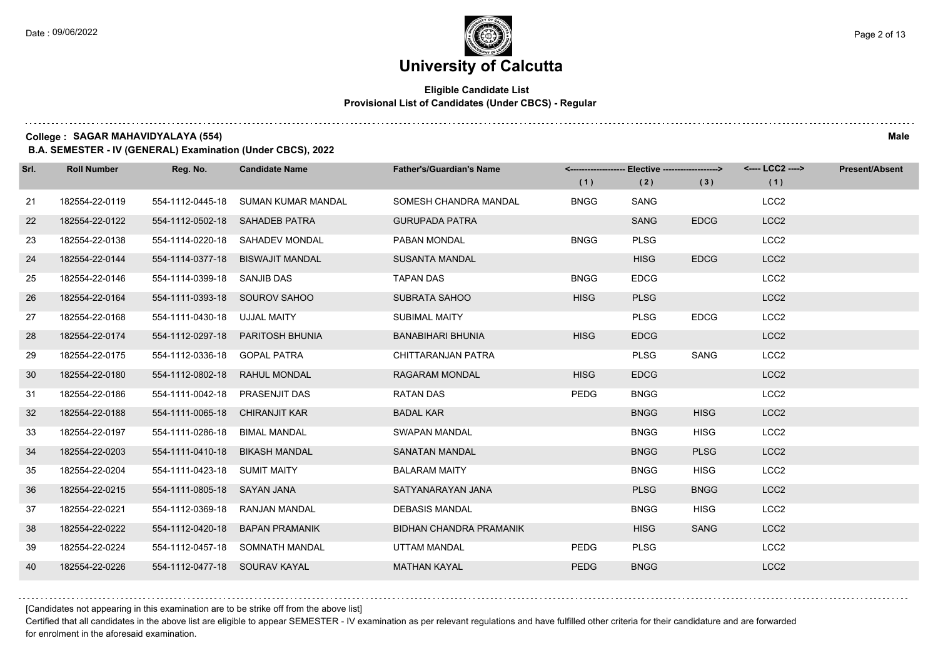### **Eligible Candidate List Provisional List of Candidates (Under CBCS) - Regular**

**College : SAGAR MAHAVIDYALAYA (554) Male**

**B.A. SEMESTER - IV (GENERAL) Examination (Under CBCS), 2022**

| Srl. | <b>Roll Number</b> | Reg. No.                       | <b>Candidate Name</b>            | <b>Father's/Guardian's Name</b> |             | <------------------- Elective ------------------> |             | <---- LCC2 ----> | <b>Present/Absent</b> |
|------|--------------------|--------------------------------|----------------------------------|---------------------------------|-------------|---------------------------------------------------|-------------|------------------|-----------------------|
|      |                    |                                |                                  |                                 | (1)         | (2)                                               | (3)         | (1)              |                       |
| 21   | 182554-22-0119     | 554-1112-0445-18               | SUMAN KUMAR MANDAL               | SOMESH CHANDRA MANDAL           | <b>BNGG</b> | SANG                                              |             | LCC <sub>2</sub> |                       |
| 22   | 182554-22-0122     |                                | 554-1112-0502-18 SAHADEB PATRA   | <b>GURUPADA PATRA</b>           |             | <b>SANG</b>                                       | <b>EDCG</b> | LCC <sub>2</sub> |                       |
| 23   | 182554-22-0138     |                                | 554-1114-0220-18 SAHADEV MONDAL  | PABAN MONDAL                    | <b>BNGG</b> | <b>PLSG</b>                                       |             | LCC <sub>2</sub> |                       |
| 24   | 182554-22-0144     |                                | 554-1114-0377-18 BISWAJIT MANDAL | <b>SUSANTA MANDAL</b>           |             | <b>HISG</b>                                       | <b>EDCG</b> | LCC <sub>2</sub> |                       |
| 25   | 182554-22-0146     | 554-1114-0399-18 SANJIB DAS    |                                  | <b>TAPAN DAS</b>                | <b>BNGG</b> | <b>EDCG</b>                                       |             | LCC <sub>2</sub> |                       |
| 26   | 182554-22-0164     | 554-1111-0393-18 SOUROV SAHOO  |                                  | <b>SUBRATA SAHOO</b>            | <b>HISG</b> | <b>PLSG</b>                                       |             | LCC <sub>2</sub> |                       |
| 27   | 182554-22-0168     | 554-1111-0430-18 UJJAL MAITY   |                                  | <b>SUBIMAL MAITY</b>            |             | <b>PLSG</b>                                       | <b>EDCG</b> | LCC <sub>2</sub> |                       |
| 28   | 182554-22-0174     |                                | 554-1112-0297-18 PARITOSH BHUNIA | <b>BANABIHARI BHUNIA</b>        | <b>HISG</b> | <b>EDCG</b>                                       |             | LCC <sub>2</sub> |                       |
| 29   | 182554-22-0175     | 554-1112-0336-18 GOPAL PATRA   |                                  | CHITTARANJAN PATRA              |             | <b>PLSG</b>                                       | <b>SANG</b> | LCC <sub>2</sub> |                       |
| 30   | 182554-22-0180     | 554-1112-0802-18               | <b>RAHUL MONDAL</b>              | <b>RAGARAM MONDAL</b>           | <b>HISG</b> | <b>EDCG</b>                                       |             | LCC <sub>2</sub> |                       |
| 31   | 182554-22-0186     | 554-1111-0042-18 PRASENJIT DAS |                                  | <b>RATAN DAS</b>                | <b>PEDG</b> | <b>BNGG</b>                                       |             | LCC <sub>2</sub> |                       |
| 32   | 182554-22-0188     | 554-1111-0065-18 CHIRANJIT KAR |                                  | <b>BADAL KAR</b>                |             | <b>BNGG</b>                                       | <b>HISG</b> | LCC <sub>2</sub> |                       |
| 33   | 182554-22-0197     | 554-1111-0286-18 BIMAL MANDAL  |                                  | SWAPAN MANDAL                   |             | <b>BNGG</b>                                       | <b>HISG</b> | LCC <sub>2</sub> |                       |
| 34   | 182554-22-0203     | 554-1111-0410-18               | <b>BIKASH MANDAL</b>             | <b>SANATAN MANDAL</b>           |             | <b>BNGG</b>                                       | <b>PLSG</b> | LCC <sub>2</sub> |                       |
| 35   | 182554-22-0204     | 554-1111-0423-18 SUMIT MAITY   |                                  | <b>BALARAM MAITY</b>            |             | <b>BNGG</b>                                       | <b>HISG</b> | LCC <sub>2</sub> |                       |
| 36   | 182554-22-0215     | 554-1111-0805-18 SAYAN JANA    |                                  | SATYANARAYAN JANA               |             | <b>PLSG</b>                                       | <b>BNGG</b> | LCC <sub>2</sub> |                       |
| 37   | 182554-22-0221     | 554-1112-0369-18               | RANJAN MANDAL                    | <b>DEBASIS MANDAL</b>           |             | <b>BNGG</b>                                       | <b>HISG</b> | LCC <sub>2</sub> |                       |
| 38   | 182554-22-0222     | 554-1112-0420-18               | <b>BAPAN PRAMANIK</b>            | <b>BIDHAN CHANDRA PRAMANIK</b>  |             | <b>HISG</b>                                       | <b>SANG</b> | LCC <sub>2</sub> |                       |
| 39   | 182554-22-0224     |                                | 554-1112-0457-18 SOMNATH MANDAL  | UTTAM MANDAL                    | PEDG        | <b>PLSG</b>                                       |             | LCC <sub>2</sub> |                       |
| 40   | 182554-22-0226     | 554-1112-0477-18 SOURAV KAYAL  |                                  | <b>MATHAN KAYAL</b>             | <b>PEDG</b> | <b>BNGG</b>                                       |             | LCC <sub>2</sub> |                       |

[Candidates not appearing in this examination are to be strike off from the above list]

Certified that all candidates in the above list are eligible to appear SEMESTER - IV examination as per relevant regulations and have fulfilled other criteria for their candidature and are forwarded for enrolment in the aforesaid examination.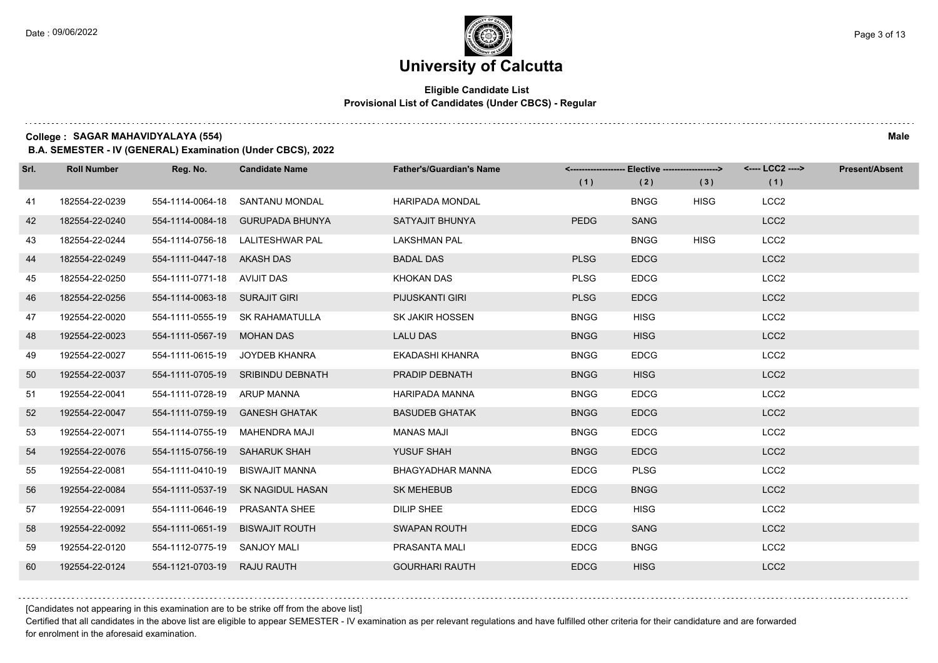### **Eligible Candidate List Provisional List of Candidates (Under CBCS) - Regular**

**College : SAGAR MAHAVIDYALAYA (554) Male**

**B.A. SEMESTER - IV (GENERAL) Examination (Under CBCS), 2022**

| Srl. | <b>Roll Number</b> | Reg. No.                      | <b>Candidate Name</b>             | <b>Father's/Guardian's Name</b> |             | <------------------- Elective ------------------> |             | <---- LCC2 ----> | <b>Present/Absent</b> |
|------|--------------------|-------------------------------|-----------------------------------|---------------------------------|-------------|---------------------------------------------------|-------------|------------------|-----------------------|
|      |                    |                               |                                   |                                 | (1)         | (2)                                               | (3)         | (1)              |                       |
| 41   | 182554-22-0239     | 554-1114-0064-18              | SANTANU MONDAL                    | <b>HARIPADA MONDAL</b>          |             | <b>BNGG</b>                                       | <b>HISG</b> | LCC <sub>2</sub> |                       |
| 42   | 182554-22-0240     | 554-1114-0084-18              | <b>GURUPADA BHUNYA</b>            | SATYAJIT BHUNYA                 | <b>PEDG</b> | <b>SANG</b>                                       |             | LCC <sub>2</sub> |                       |
| 43   | 182554-22-0244     |                               | 554-1114-0756-18 LALITESHWAR PAL  | <b>LAKSHMAN PAL</b>             |             | <b>BNGG</b>                                       | <b>HISG</b> | LCC <sub>2</sub> |                       |
| 44   | 182554-22-0249     | 554-1111-0447-18 AKASH DAS    |                                   | <b>BADAL DAS</b>                | <b>PLSG</b> | <b>EDCG</b>                                       |             | LCC <sub>2</sub> |                       |
| 45   | 182554-22-0250     | 554-1111-0771-18 AVIJIT DAS   |                                   | <b>KHOKAN DAS</b>               | <b>PLSG</b> | <b>EDCG</b>                                       |             | LCC <sub>2</sub> |                       |
| 46   | 182554-22-0256     | 554-1114-0063-18 SURAJIT GIRI |                                   | PIJUSKANTI GIRI                 | <b>PLSG</b> | <b>EDCG</b>                                       |             | LCC <sub>2</sub> |                       |
| 47   | 192554-22-0020     |                               | 554-1111-0555-19 SK RAHAMATULLA   | <b>SK JAKIR HOSSEN</b>          | <b>BNGG</b> | <b>HISG</b>                                       |             | LCC <sub>2</sub> |                       |
| 48   | 192554-22-0023     | 554-1111-0567-19 MOHAN DAS    |                                   | <b>LALU DAS</b>                 | <b>BNGG</b> | <b>HISG</b>                                       |             | LCC <sub>2</sub> |                       |
| 49   | 192554-22-0027     | 554-1111-0615-19              | JOYDEB KHANRA                     | EKADASHI KHANRA                 | <b>BNGG</b> | <b>EDCG</b>                                       |             | LCC <sub>2</sub> |                       |
| 50   | 192554-22-0037     |                               | 554-1111-0705-19 SRIBINDU DEBNATH | PRADIP DEBNATH                  | <b>BNGG</b> | <b>HISG</b>                                       |             | LCC <sub>2</sub> |                       |
| 51   | 192554-22-0041     | 554-1111-0728-19 ARUP MANNA   |                                   | <b>HARIPADA MANNA</b>           | <b>BNGG</b> | <b>EDCG</b>                                       |             | LCC <sub>2</sub> |                       |
| 52   | 192554-22-0047     |                               | 554-1111-0759-19 GANESH GHATAK    | <b>BASUDEB GHATAK</b>           | <b>BNGG</b> | <b>EDCG</b>                                       |             | LCC <sub>2</sub> |                       |
| 53   | 192554-22-0071     |                               | 554-1114-0755-19 MAHENDRA MAJI    | <b>MANAS MAJI</b>               | <b>BNGG</b> | <b>EDCG</b>                                       |             | LCC <sub>2</sub> |                       |
| 54   | 192554-22-0076     | 554-1115-0756-19 SAHARUK SHAH |                                   | YUSUF SHAH                      | <b>BNGG</b> | <b>EDCG</b>                                       |             | LCC <sub>2</sub> |                       |
| 55   | 192554-22-0081     |                               | 554-1111-0410-19 BISWAJIT MANNA   | <b>BHAGYADHAR MANNA</b>         | <b>EDCG</b> | <b>PLSG</b>                                       |             | LCC <sub>2</sub> |                       |
| 56   | 192554-22-0084     |                               | 554-1111-0537-19 SK NAGIDUL HASAN | <b>SK MEHEBUB</b>               | <b>EDCG</b> | <b>BNGG</b>                                       |             | LCC <sub>2</sub> |                       |
| 57   | 192554-22-0091     | 554-1111-0646-19              | <b>PRASANTA SHEE</b>              | <b>DILIP SHEE</b>               | <b>EDCG</b> | <b>HISG</b>                                       |             | LCC <sub>2</sub> |                       |
| 58   | 192554-22-0092     | 554-1111-0651-19              | <b>BISWAJIT ROUTH</b>             | <b>SWAPAN ROUTH</b>             | <b>EDCG</b> | <b>SANG</b>                                       |             | LCC <sub>2</sub> |                       |
| 59   | 192554-22-0120     | 554-1112-0775-19 SANJOY MALI  |                                   | PRASANTA MALI                   | <b>EDCG</b> | <b>BNGG</b>                                       |             | LCC <sub>2</sub> |                       |
| 60   | 192554-22-0124     | 554-1121-0703-19 RAJU RAUTH   |                                   | <b>GOURHARI RAUTH</b>           | <b>EDCG</b> | <b>HISG</b>                                       |             | LCC <sub>2</sub> |                       |

[Candidates not appearing in this examination are to be strike off from the above list]

Certified that all candidates in the above list are eligible to appear SEMESTER - IV examination as per relevant regulations and have fulfilled other criteria for their candidature and are forwarded for enrolment in the aforesaid examination.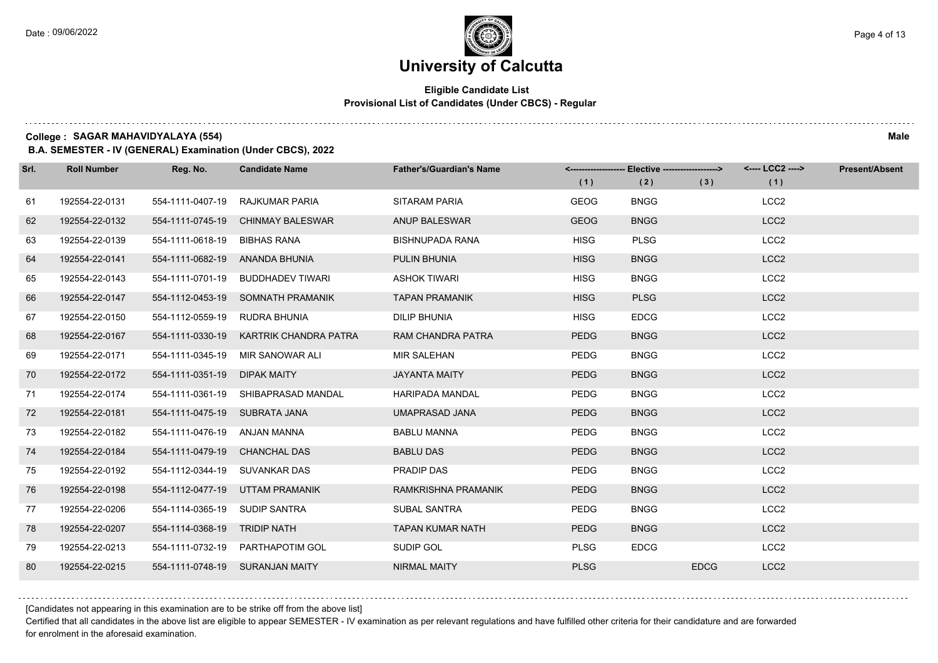### **Eligible Candidate List Provisional List of Candidates (Under CBCS) - Regular**

**College : SAGAR MAHAVIDYALAYA (554) Male**

**B.A. SEMESTER - IV (GENERAL) Examination (Under CBCS), 2022**

| Srl. | <b>Roll Number</b> | Reg. No.                      | <b>Candidate Name</b>               | <b>Father's/Guardian's Name</b> | (1)         | <-------------------- Elective -------------------><br>(2) | (3)         | <---- LCC2 ----><br>(1) | <b>Present/Absent</b> |
|------|--------------------|-------------------------------|-------------------------------------|---------------------------------|-------------|------------------------------------------------------------|-------------|-------------------------|-----------------------|
| 61   | 192554-22-0131     | 554-1111-0407-19              | RAJKUMAR PARIA                      | <b>SITARAM PARIA</b>            | <b>GEOG</b> | <b>BNGG</b>                                                |             | LCC <sub>2</sub>        |                       |
| 62   | 192554-22-0132     | 554-1111-0745-19              | <b>CHINMAY BALESWAR</b>             | <b>ANUP BALESWAR</b>            | <b>GEOG</b> | <b>BNGG</b>                                                |             | LCC <sub>2</sub>        |                       |
| 63   | 192554-22-0139     | 554-1111-0618-19              | <b>BIBHAS RANA</b>                  | <b>BISHNUPADA RANA</b>          | <b>HISG</b> | <b>PLSG</b>                                                |             | LCC <sub>2</sub>        |                       |
| 64   | 192554-22-0141     |                               | 554-1111-0682-19 ANANDA BHUNIA      | PULIN BHUNIA                    | <b>HISG</b> | <b>BNGG</b>                                                |             | LCC <sub>2</sub>        |                       |
| 65   | 192554-22-0143     | 554-1111-0701-19              | <b>BUDDHADEV TIWARI</b>             | <b>ASHOK TIWARI</b>             | <b>HISG</b> | <b>BNGG</b>                                                |             | LCC <sub>2</sub>        |                       |
| 66   | 192554-22-0147     | 554-1112-0453-19              | SOMNATH PRAMANIK                    | <b>TAPAN PRAMANIK</b>           | <b>HISG</b> | <b>PLSG</b>                                                |             | LCC <sub>2</sub>        |                       |
| 67   | 192554-22-0150     | 554-1112-0559-19              | RUDRA BHUNIA                        | <b>DILIP BHUNIA</b>             | <b>HISG</b> | <b>EDCG</b>                                                |             | LCC <sub>2</sub>        |                       |
| 68   | 192554-22-0167     | 554-1111-0330-19              | KARTRIK CHANDRA PATRA               | RAM CHANDRA PATRA               | <b>PEDG</b> | <b>BNGG</b>                                                |             | LCC <sub>2</sub>        |                       |
| 69   | 192554-22-0171     | 554-1111-0345-19              | MIR SANOWAR ALI                     | <b>MIR SALEHAN</b>              | PEDG        | <b>BNGG</b>                                                |             | LCC <sub>2</sub>        |                       |
| 70   | 192554-22-0172     | 554-1111-0351-19              | <b>DIPAK MAITY</b>                  | <b>JAYANTA MAITY</b>            | <b>PEDG</b> | <b>BNGG</b>                                                |             | LCC <sub>2</sub>        |                       |
| 71   | 192554-22-0174     |                               | 554-1111-0361-19 SHIBAPRASAD MANDAL | <b>HARIPADA MANDAL</b>          | PEDG        | <b>BNGG</b>                                                |             | LCC <sub>2</sub>        |                       |
| 72   | 192554-22-0181     | 554-1111-0475-19 SUBRATA JANA |                                     | UMAPRASAD JANA                  | <b>PEDG</b> | <b>BNGG</b>                                                |             | LCC <sub>2</sub>        |                       |
| 73   | 192554-22-0182     | 554-1111-0476-19 ANJAN MANNA  |                                     | <b>BABLU MANNA</b>              | PEDG        | <b>BNGG</b>                                                |             | LCC <sub>2</sub>        |                       |
| 74   | 192554-22-0184     | 554-1111-0479-19              | <b>CHANCHAL DAS</b>                 | <b>BABLU DAS</b>                | <b>PEDG</b> | <b>BNGG</b>                                                |             | LCC <sub>2</sub>        |                       |
| 75   | 192554-22-0192     | 554-1112-0344-19 SUVANKAR DAS |                                     | PRADIP DAS                      | <b>PEDG</b> | <b>BNGG</b>                                                |             | LCC <sub>2</sub>        |                       |
| 76   | 192554-22-0198     | 554-1112-0477-19              | UTTAM PRAMANIK                      | RAMKRISHNA PRAMANIK             | <b>PEDG</b> | <b>BNGG</b>                                                |             | LCC <sub>2</sub>        |                       |
| 77   | 192554-22-0206     | 554-1114-0365-19              | <b>SUDIP SANTRA</b>                 | <b>SUBAL SANTRA</b>             | <b>PEDG</b> | <b>BNGG</b>                                                |             | LCC <sub>2</sub>        |                       |
| 78   | 192554-22-0207     | 554-1114-0368-19 TRIDIP NATH  |                                     | <b>TAPAN KUMAR NATH</b>         | <b>PEDG</b> | <b>BNGG</b>                                                |             | LCC <sub>2</sub>        |                       |
| 79   | 192554-22-0213     |                               | 554-1111-0732-19 PARTHAPOTIM GOL    | SUDIP GOL                       | <b>PLSG</b> | <b>EDCG</b>                                                |             | LCC <sub>2</sub>        |                       |
| 80   | 192554-22-0215     |                               | 554-1111-0748-19 SURANJAN MAITY     | <b>NIRMAL MAITY</b>             | <b>PLSG</b> |                                                            | <b>EDCG</b> | LCC <sub>2</sub>        |                       |

[Candidates not appearing in this examination are to be strike off from the above list]

Certified that all candidates in the above list are eligible to appear SEMESTER - IV examination as per relevant regulations and have fulfilled other criteria for their candidature and are forwarded for enrolment in the aforesaid examination.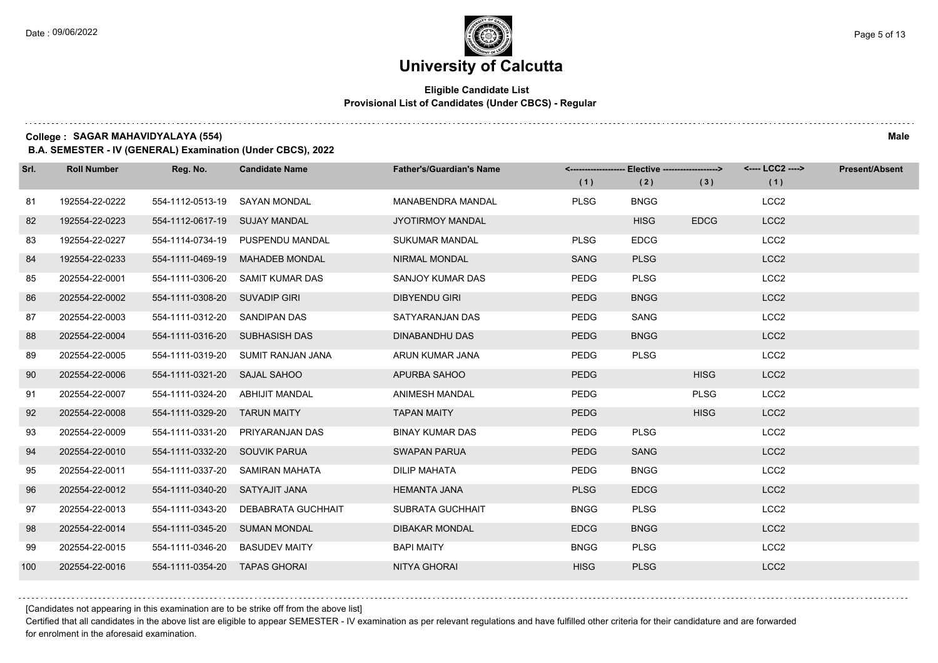# **University of Calcutta**

### **Eligible Candidate List Provisional List of Candidates (Under CBCS) - Regular**

**College : SAGAR MAHAVIDYALAYA (554) Male**

**B.A. SEMESTER - IV (GENERAL) Examination (Under CBCS), 2022**

| Srl. | <b>Roll Number</b> | Reg. No.                        | <b>Candidate Name</b>              | <b>Father's/Guardian's Name</b> | (1)         | <-------------------- Elective -------------------><br>(2) | (3)         | <---- LCC2 ----><br>(1) | <b>Present/Absent</b> |
|------|--------------------|---------------------------------|------------------------------------|---------------------------------|-------------|------------------------------------------------------------|-------------|-------------------------|-----------------------|
| 81   | 192554-22-0222     | 554-1112-0513-19                | SAYAN MONDAL                       | <b>MANABENDRA MANDAL</b>        | <b>PLSG</b> | <b>BNGG</b>                                                |             | LCC <sub>2</sub>        |                       |
| 82   | 192554-22-0223     | 554-1112-0617-19 SUJAY MANDAL   |                                    | <b>JYOTIRMOY MANDAL</b>         |             | <b>HISG</b>                                                | <b>EDCG</b> | LCC <sub>2</sub>        |                       |
| 83   | 192554-22-0227     |                                 | 554-1114-0734-19 PUSPENDU MANDAL   | <b>SUKUMAR MANDAL</b>           | <b>PLSG</b> | <b>EDCG</b>                                                |             | LCC <sub>2</sub>        |                       |
| 84   | 192554-22-0233     | 554-1111-0469-19                | <b>MAHADEB MONDAL</b>              | <b>NIRMAL MONDAL</b>            | <b>SANG</b> | <b>PLSG</b>                                                |             | LCC <sub>2</sub>        |                       |
| 85   | 202554-22-0001     | 554-1111-0306-20                | SAMIT KUMAR DAS                    | SANJOY KUMAR DAS                | <b>PEDG</b> | <b>PLSG</b>                                                |             | LCC <sub>2</sub>        |                       |
| 86   | 202554-22-0002     | 554-1111-0308-20 SUVADIP GIRI   |                                    | <b>DIBYENDU GIRI</b>            | <b>PEDG</b> | <b>BNGG</b>                                                |             | LCC <sub>2</sub>        |                       |
| 87   | 202554-22-0003     | 554-1111-0312-20 SANDIPAN DAS   |                                    | SATYARANJAN DAS                 | <b>PEDG</b> | SANG                                                       |             | LCC <sub>2</sub>        |                       |
| 88   | 202554-22-0004     | 554-1111-0316-20 SUBHASISH DAS  |                                    | DINABANDHU DAS                  | <b>PEDG</b> | <b>BNGG</b>                                                |             | LCC <sub>2</sub>        |                       |
| 89   | 202554-22-0005     |                                 | 554-1111-0319-20 SUMIT RANJAN JANA | ARUN KUMAR JANA                 | <b>PEDG</b> | <b>PLSG</b>                                                |             | LCC <sub>2</sub>        |                       |
| 90   | 202554-22-0006     | 554-1111-0321-20 SAJAL SAHOO    |                                    | APURBA SAHOO                    | <b>PEDG</b> |                                                            | <b>HISG</b> | LCC <sub>2</sub>        |                       |
| 91   | 202554-22-0007     | 554-1111-0324-20 ABHIJIT MANDAL |                                    | <b>ANIMESH MANDAL</b>           | <b>PEDG</b> |                                                            | <b>PLSG</b> | LCC <sub>2</sub>        |                       |
| 92   | 202554-22-0008     | 554-1111-0329-20 TARUN MAITY    |                                    | <b>TAPAN MAITY</b>              | <b>PEDG</b> |                                                            | <b>HISG</b> | LCC <sub>2</sub>        |                       |
| 93   | 202554-22-0009     | 554-1111-0331-20                | PRIYARANJAN DAS                    | <b>BINAY KUMAR DAS</b>          | <b>PEDG</b> | <b>PLSG</b>                                                |             | LCC <sub>2</sub>        |                       |
| 94   | 202554-22-0010     | 554-1111-0332-20 SOUVIK PARUA   |                                    | <b>SWAPAN PARUA</b>             | <b>PEDG</b> | <b>SANG</b>                                                |             | LCC <sub>2</sub>        |                       |
| 95   | 202554-22-0011     | 554-1111-0337-20                | SAMIRAN MAHATA                     | <b>DILIP MAHATA</b>             | <b>PEDG</b> | <b>BNGG</b>                                                |             | LCC <sub>2</sub>        |                       |
| 96   | 202554-22-0012     | 554-1111-0340-20 SATYAJIT JANA  |                                    | <b>HEMANTA JANA</b>             | <b>PLSG</b> | <b>EDCG</b>                                                |             | LCC <sub>2</sub>        |                       |
| 97   | 202554-22-0013     | 554-1111-0343-20                | DEBABRATA GUCHHAIT                 | SUBRATA GUCHHAIT                | <b>BNGG</b> | <b>PLSG</b>                                                |             | LCC <sub>2</sub>        |                       |
| 98   | 202554-22-0014     | 554-1111-0345-20 SUMAN MONDAL   |                                    | <b>DIBAKAR MONDAL</b>           | <b>EDCG</b> | <b>BNGG</b>                                                |             | LCC <sub>2</sub>        |                       |
| 99   | 202554-22-0015     | 554-1111-0346-20                | <b>BASUDEV MAITY</b>               | <b>BAPI MAITY</b>               | <b>BNGG</b> | <b>PLSG</b>                                                |             | LCC <sub>2</sub>        |                       |
| 100  | 202554-22-0016     | 554-1111-0354-20 TAPAS GHORAI   |                                    | NITYA GHORAI                    | <b>HISG</b> | <b>PLSG</b>                                                |             | LCC <sub>2</sub>        |                       |

[Candidates not appearing in this examination are to be strike off from the above list]

Certified that all candidates in the above list are eligible to appear SEMESTER - IV examination as per relevant regulations and have fulfilled other criteria for their candidature and are forwarded for enrolment in the aforesaid examination.

. . . . . . . .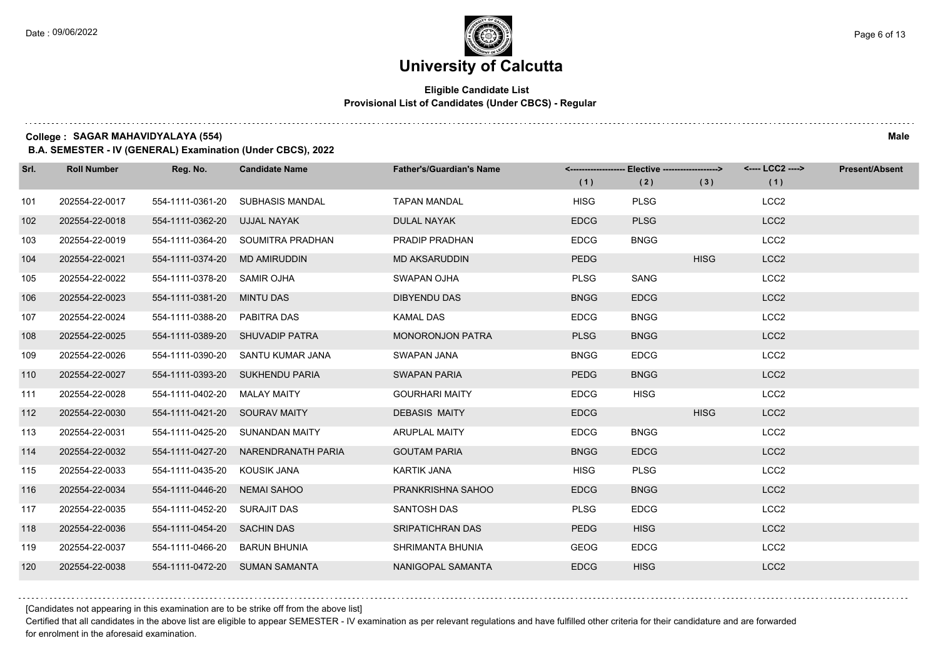# **University of Calcutta**

### **Eligible Candidate List Provisional List of Candidates (Under CBCS) - Regular**

**College : SAGAR MAHAVIDYALAYA (554) Male**

**B.A. SEMESTER - IV (GENERAL) Examination (Under CBCS), 2022**

| Srl. | <b>Roll Number</b> | Reg. No.                      | <b>Candidate Name</b>               | <b>Father's/Guardian's Name</b> | (1)         | <-------------------- Elective -------------------><br>(2) | (3)         | <---- LCC2 ----><br>(1) | <b>Present/Absent</b> |
|------|--------------------|-------------------------------|-------------------------------------|---------------------------------|-------------|------------------------------------------------------------|-------------|-------------------------|-----------------------|
| 101  | 202554-22-0017     | 554-1111-0361-20              | SUBHASIS MANDAL                     | <b>TAPAN MANDAL</b>             | <b>HISG</b> | <b>PLSG</b>                                                |             | LCC <sub>2</sub>        |                       |
| 102  | 202554-22-0018     | 554-1111-0362-20 UJJAL NAYAK  |                                     | <b>DULAL NAYAK</b>              | <b>EDCG</b> | <b>PLSG</b>                                                |             | LCC <sub>2</sub>        |                       |
| 103  | 202554-22-0019     |                               | 554-1111-0364-20 SOUMITRA PRADHAN   | PRADIP PRADHAN                  | <b>EDCG</b> | <b>BNGG</b>                                                |             | LCC <sub>2</sub>        |                       |
| 104  | 202554-22-0021     | 554-1111-0374-20 MD AMIRUDDIN |                                     | MD AKSARUDDIN                   | <b>PEDG</b> |                                                            | <b>HISG</b> | LCC <sub>2</sub>        |                       |
| 105  | 202554-22-0022     | 554-1111-0378-20              | SAMIR OJHA                          | SWAPAN OJHA                     | <b>PLSG</b> | SANG                                                       |             | LCC <sub>2</sub>        |                       |
| 106  | 202554-22-0023     | 554-1111-0381-20 MINTU DAS    |                                     | <b>DIBYENDU DAS</b>             | <b>BNGG</b> | <b>EDCG</b>                                                |             | LCC <sub>2</sub>        |                       |
| 107  | 202554-22-0024     | 554-1111-0388-20 PABITRA DAS  |                                     | <b>KAMAL DAS</b>                | <b>EDCG</b> | <b>BNGG</b>                                                |             | LCC <sub>2</sub>        |                       |
| 108  | 202554-22-0025     |                               | 554-1111-0389-20 SHUVADIP PATRA     | <b>MONORONJON PATRA</b>         | <b>PLSG</b> | <b>BNGG</b>                                                |             | LCC <sub>2</sub>        |                       |
| 109  | 202554-22-0026     | 554-1111-0390-20              | SANTU KUMAR JANA                    | SWAPAN JANA                     | <b>BNGG</b> | <b>EDCG</b>                                                |             | LCC <sub>2</sub>        |                       |
| 110  | 202554-22-0027     |                               | 554-1111-0393-20 SUKHENDU PARIA     | <b>SWAPAN PARIA</b>             | <b>PEDG</b> | <b>BNGG</b>                                                |             | LCC <sub>2</sub>        |                       |
| 111  | 202554-22-0028     | 554-1111-0402-20 MALAY MAITY  |                                     | <b>GOURHARI MAITY</b>           | <b>EDCG</b> | <b>HISG</b>                                                |             | LCC <sub>2</sub>        |                       |
| 112  | 202554-22-0030     | 554-1111-0421-20 SOURAV MAITY |                                     | <b>DEBASIS MAITY</b>            | <b>EDCG</b> |                                                            | <b>HISG</b> | LCC <sub>2</sub>        |                       |
| 113  | 202554-22-0031     |                               | 554-1111-0425-20 SUNANDAN MAITY     | <b>ARUPLAL MAITY</b>            | <b>EDCG</b> | <b>BNGG</b>                                                |             | LCC <sub>2</sub>        |                       |
| 114  | 202554-22-0032     |                               | 554-1111-0427-20 NARENDRANATH PARIA | <b>GOUTAM PARIA</b>             | <b>BNGG</b> | <b>EDCG</b>                                                |             | LCC <sub>2</sub>        |                       |
| 115  | 202554-22-0033     | 554-1111-0435-20              | KOUSIK JANA                         | KARTIK JANA                     | HISG        | <b>PLSG</b>                                                |             | LCC <sub>2</sub>        |                       |
| 116  | 202554-22-0034     | 554-1111-0446-20 NEMAI SAHOO  |                                     | PRANKRISHNA SAHOO               | <b>EDCG</b> | <b>BNGG</b>                                                |             | LCC <sub>2</sub>        |                       |
| 117  | 202554-22-0035     | 554-1111-0452-20              | SURAJIT DAS                         | <b>SANTOSH DAS</b>              | <b>PLSG</b> | <b>EDCG</b>                                                |             | LCC <sub>2</sub>        |                       |
| 118  | 202554-22-0036     | 554-1111-0454-20 SACHIN DAS   |                                     | <b>SRIPATICHRAN DAS</b>         | <b>PEDG</b> | <b>HISG</b>                                                |             | LCC <sub>2</sub>        |                       |
| 119  | 202554-22-0037     | 554-1111-0466-20              | <b>BARUN BHUNIA</b>                 | SHRIMANTA BHUNIA                | <b>GEOG</b> | <b>EDCG</b>                                                |             | LCC <sub>2</sub>        |                       |
| 120  | 202554-22-0038     |                               | 554-1111-0472-20 SUMAN SAMANTA      | NANIGOPAL SAMANTA               | <b>EDCG</b> | <b>HISG</b>                                                |             | LCC <sub>2</sub>        |                       |

[Candidates not appearing in this examination are to be strike off from the above list]

Certified that all candidates in the above list are eligible to appear SEMESTER - IV examination as per relevant regulations and have fulfilled other criteria for their candidature and are forwarded for enrolment in the aforesaid examination.

and a state of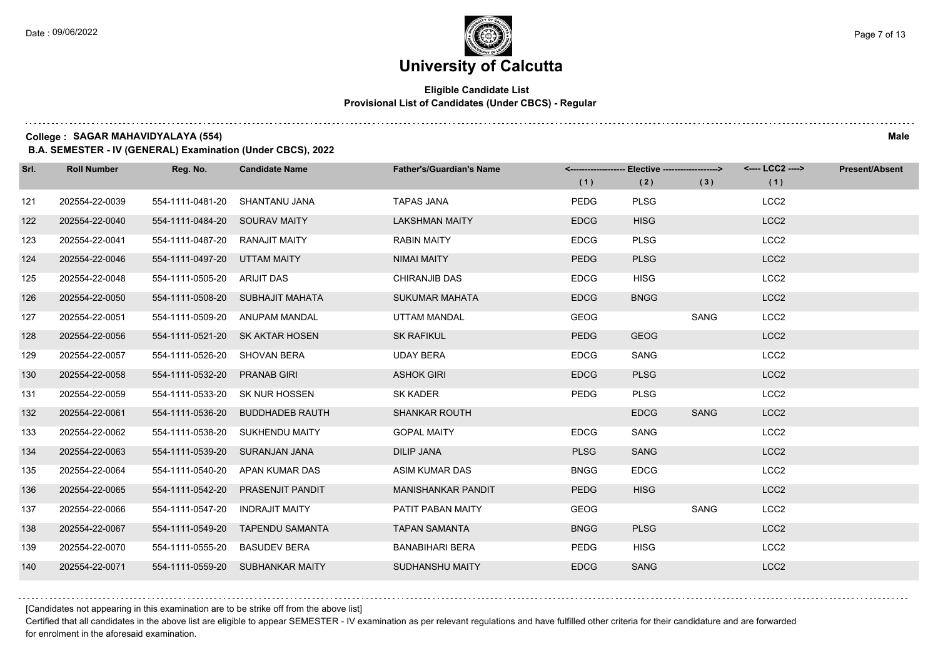### **Eligible Candidate List Provisional List of Candidates (Under CBCS) - Regular**

**College : SAGAR MAHAVIDYALAYA (554) Male**

**B.A. SEMESTER - IV (GENERAL) Examination (Under CBCS), 2022**

| Srl. | <b>Roll Number</b> | Reg. No.                       | <b>Candidate Name</b>             | <b>Father's/Guardian's Name</b> |             | <-------------------- Elective -------------------> |             | <---- LCC2 ----> | <b>Present/Absent</b> |
|------|--------------------|--------------------------------|-----------------------------------|---------------------------------|-------------|-----------------------------------------------------|-------------|------------------|-----------------------|
|      |                    |                                |                                   |                                 | (1)         | (2)                                                 | (3)         | (1)              |                       |
| 121  | 202554-22-0039     | 554-1111-0481-20               | SHANTANU JANA                     | <b>TAPAS JANA</b>               | <b>PEDG</b> | <b>PLSG</b>                                         |             | LCC <sub>2</sub> |                       |
| 122  | 202554-22-0040     | 554-1111-0484-20 SOURAV MAITY  |                                   | <b>LAKSHMAN MAITY</b>           | <b>EDCG</b> | <b>HISG</b>                                         |             | LCC <sub>2</sub> |                       |
| 123  | 202554-22-0041     | 554-1111-0487-20 RANAJIT MAITY |                                   | <b>RABIN MAITY</b>              | <b>EDCG</b> | <b>PLSG</b>                                         |             | LCC <sub>2</sub> |                       |
| 124  | 202554-22-0046     | 554-1111-0497-20 UTTAM MAITY   |                                   | NIMAI MAITY                     | <b>PEDG</b> | <b>PLSG</b>                                         |             | LCC <sub>2</sub> |                       |
| 125  | 202554-22-0048     | 554-1111-0505-20               | ARIJIT DAS                        | <b>CHIRANJIB DAS</b>            | <b>EDCG</b> | <b>HISG</b>                                         |             | LCC <sub>2</sub> |                       |
| 126  | 202554-22-0050     |                                | 554-1111-0508-20 SUBHAJIT MAHATA  | <b>SUKUMAR MAHATA</b>           | <b>EDCG</b> | <b>BNGG</b>                                         |             | LCC <sub>2</sub> |                       |
| 127  | 202554-22-0051     |                                | 554-1111-0509-20 ANUPAM MANDAL    | UTTAM MANDAL                    | <b>GEOG</b> |                                                     | <b>SANG</b> | LCC <sub>2</sub> |                       |
| 128  | 202554-22-0056     |                                | 554-1111-0521-20 SK AKTAR HOSEN   | <b>SK RAFIKUL</b>               | <b>PEDG</b> | <b>GEOG</b>                                         |             | LCC <sub>2</sub> |                       |
| 129  | 202554-22-0057     | 554-1111-0526-20 SHOVAN BERA   |                                   | <b>UDAY BERA</b>                | <b>EDCG</b> | SANG                                                |             | LCC <sub>2</sub> |                       |
| 130  | 202554-22-0058     | 554-1111-0532-20 PRANAB GIRI   |                                   | <b>ASHOK GIRI</b>               | <b>EDCG</b> | <b>PLSG</b>                                         |             | LCC <sub>2</sub> |                       |
| 131  | 202554-22-0059     |                                | 554-1111-0533-20 SK NUR HOSSEN    | SK KADER                        | <b>PEDG</b> | <b>PLSG</b>                                         |             | LCC <sub>2</sub> |                       |
| 132  | 202554-22-0061     |                                | 554-1111-0536-20 BUDDHADEB RAUTH  | <b>SHANKAR ROUTH</b>            |             | <b>EDCG</b>                                         | <b>SANG</b> | LCC <sub>2</sub> |                       |
| 133  | 202554-22-0062     | 554-1111-0538-20               | SUKHENDU MAITY                    | <b>GOPAL MAITY</b>              | <b>EDCG</b> | <b>SANG</b>                                         |             | LCC <sub>2</sub> |                       |
| 134  | 202554-22-0063     | 554-1111-0539-20 SURANJAN JANA |                                   | <b>DILIP JANA</b>               | <b>PLSG</b> | <b>SANG</b>                                         |             | LCC <sub>2</sub> |                       |
| 135  | 202554-22-0064     |                                | 554-1111-0540-20 APAN KUMAR DAS   | ASIM KUMAR DAS                  | <b>BNGG</b> | <b>EDCG</b>                                         |             | LCC <sub>2</sub> |                       |
| 136  | 202554-22-0065     |                                | 554-1111-0542-20 PRASENJIT PANDIT | <b>MANISHANKAR PANDIT</b>       | <b>PEDG</b> | <b>HISG</b>                                         |             | LCC <sub>2</sub> |                       |
| 137  | 202554-22-0066     | 554-1111-0547-20               | <b>INDRAJIT MAITY</b>             | PATIT PABAN MAITY               | <b>GEOG</b> |                                                     | SANG        | LCC <sub>2</sub> |                       |
| 138  | 202554-22-0067     |                                | 554-1111-0549-20 TAPENDU SAMANTA  | <b>TAPAN SAMANTA</b>            | <b>BNGG</b> | <b>PLSG</b>                                         |             | LCC <sub>2</sub> |                       |
| 139  | 202554-22-0070     | 554-1111-0555-20 BASUDEV BERA  |                                   | <b>BANABIHARI BERA</b>          | <b>PEDG</b> | <b>HISG</b>                                         |             | LCC <sub>2</sub> |                       |
| 140  | 202554-22-0071     |                                | 554-1111-0559-20 SUBHANKAR MAITY  | SUDHANSHU MAITY                 | <b>EDCG</b> | <b>SANG</b>                                         |             | LCC <sub>2</sub> |                       |

[Candidates not appearing in this examination are to be strike off from the above list]

Certified that all candidates in the above list are eligible to appear SEMESTER - IV examination as per relevant regulations and have fulfilled other criteria for their candidature and are forwarded for enrolment in the aforesaid examination.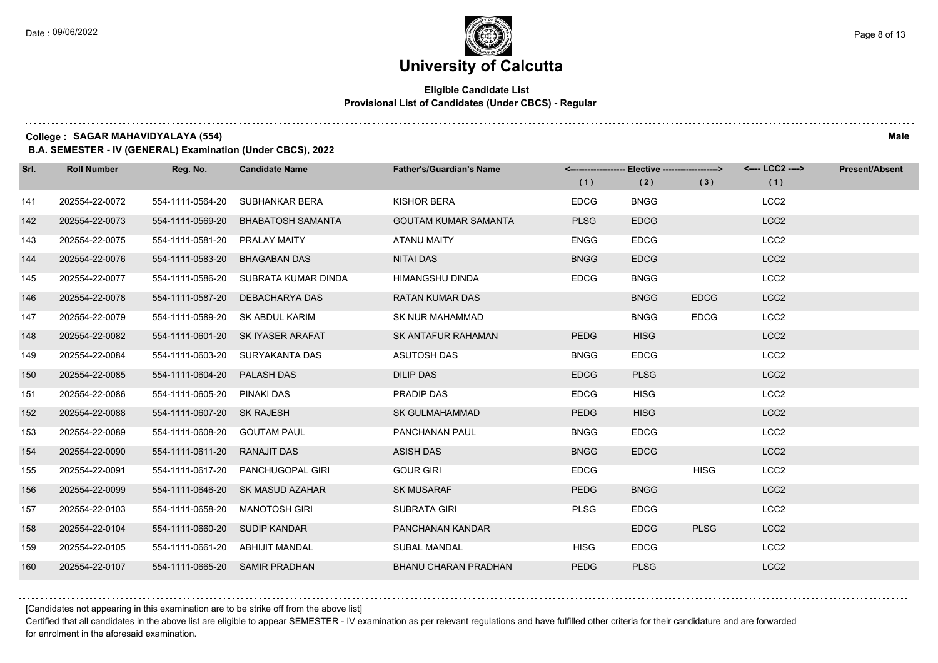### **Eligible Candidate List Provisional List of Candidates (Under CBCS) - Regular**

**College : SAGAR MAHAVIDYALAYA (554) Male**

**B.A. SEMESTER - IV (GENERAL) Examination (Under CBCS), 2022**

| Srl. | <b>Roll Number</b> | Reg. No.                        | <b>Candidate Name</b>             | <b>Father's/Guardian's Name</b> |             | <-------------------- Elective ------------------> |             | <---- LCC2 ----> | <b>Present/Absent</b> |
|------|--------------------|---------------------------------|-----------------------------------|---------------------------------|-------------|----------------------------------------------------|-------------|------------------|-----------------------|
|      |                    |                                 |                                   |                                 | (1)         | (2)                                                | (3)         | (1)              |                       |
| 141  | 202554-22-0072     | 554-1111-0564-20                | SUBHANKAR BERA                    | KISHOR BERA                     | <b>EDCG</b> | <b>BNGG</b>                                        |             | LCC <sub>2</sub> |                       |
| 142  | 202554-22-0073     | 554-1111-0569-20                | <b>BHABATOSH SAMANTA</b>          | <b>GOUTAM KUMAR SAMANTA</b>     | <b>PLSG</b> | <b>EDCG</b>                                        |             | LCC <sub>2</sub> |                       |
| 143  | 202554-22-0075     | 554-1111-0581-20 PRALAY MAITY   |                                   | ATANU MAITY                     | <b>ENGG</b> | <b>EDCG</b>                                        |             | LCC <sub>2</sub> |                       |
| 144  | 202554-22-0076     | 554-1111-0583-20                | <b>BHAGABAN DAS</b>               | NITAI DAS                       | <b>BNGG</b> | <b>EDCG</b>                                        |             | LCC <sub>2</sub> |                       |
| 145  | 202554-22-0077     | 554-1111-0586-20                | SUBRATA KUMAR DINDA               | <b>HIMANGSHU DINDA</b>          | <b>EDCG</b> | <b>BNGG</b>                                        |             | LCC <sub>2</sub> |                       |
| 146  | 202554-22-0078     |                                 | 554-1111-0587-20 DEBACHARYA DAS   | <b>RATAN KUMAR DAS</b>          |             | <b>BNGG</b>                                        | <b>EDCG</b> | LCC <sub>2</sub> |                       |
| 147  | 202554-22-0079     |                                 | 554-1111-0589-20 SK ABDUL KARIM   | SK NUR MAHAMMAD                 |             | <b>BNGG</b>                                        | <b>EDCG</b> | LCC <sub>2</sub> |                       |
| 148  | 202554-22-0082     |                                 | 554-1111-0601-20 SK IYASER ARAFAT | <b>SK ANTAFUR RAHAMAN</b>       | <b>PEDG</b> | <b>HISG</b>                                        |             | LCC <sub>2</sub> |                       |
| 149  | 202554-22-0084     |                                 | 554-1111-0603-20 SURYAKANTA DAS   | <b>ASUTOSH DAS</b>              | <b>BNGG</b> | <b>EDCG</b>                                        |             | LCC <sub>2</sub> |                       |
| 150  | 202554-22-0085     | 554-1111-0604-20 PALASH DAS     |                                   | <b>DILIP DAS</b>                | <b>EDCG</b> | <b>PLSG</b>                                        |             | LCC <sub>2</sub> |                       |
| 151  | 202554-22-0086     | 554-1111-0605-20 PINAKI DAS     |                                   | PRADIP DAS                      | <b>EDCG</b> | <b>HISG</b>                                        |             | LCC <sub>2</sub> |                       |
| 152  | 202554-22-0088     | 554-1111-0607-20 SK RAJESH      |                                   | <b>SK GULMAHAMMAD</b>           | <b>PEDG</b> | <b>HISG</b>                                        |             | LCC <sub>2</sub> |                       |
| 153  | 202554-22-0089     | 554-1111-0608-20                | <b>GOUTAM PAUL</b>                | <b>PANCHANAN PAUL</b>           | <b>BNGG</b> | <b>EDCG</b>                                        |             | LCC <sub>2</sub> |                       |
| 154  | 202554-22-0090     | 554-1111-0611-20 RANAJIT DAS    |                                   | <b>ASISH DAS</b>                | <b>BNGG</b> | <b>EDCG</b>                                        |             | LCC <sub>2</sub> |                       |
| 155  | 202554-22-0091     |                                 | 554-1111-0617-20 PANCHUGOPAL GIRI | <b>GOUR GIRI</b>                | <b>EDCG</b> |                                                    | <b>HISG</b> | LCC <sub>2</sub> |                       |
| 156  | 202554-22-0099     |                                 | 554-1111-0646-20 SK MASUD AZAHAR  | <b>SK MUSARAF</b>               | <b>PEDG</b> | <b>BNGG</b>                                        |             | LCC <sub>2</sub> |                       |
| 157  | 202554-22-0103     | 554-1111-0658-20                | <b>MANOTOSH GIRI</b>              | SUBRATA GIRI                    | <b>PLSG</b> | <b>EDCG</b>                                        |             | LCC <sub>2</sub> |                       |
| 158  | 202554-22-0104     | 554-1111-0660-20 SUDIP KANDAR   |                                   | PANCHANAN KANDAR                |             | <b>EDCG</b>                                        | <b>PLSG</b> | LCC <sub>2</sub> |                       |
| 159  | 202554-22-0105     | 554-1111-0661-20 ABHIJIT MANDAL |                                   | SUBAL MANDAL                    | <b>HISG</b> | <b>EDCG</b>                                        |             | LCC <sub>2</sub> |                       |
| 160  | 202554-22-0107     |                                 | 554-1111-0665-20 SAMIR PRADHAN    | <b>BHANU CHARAN PRADHAN</b>     | <b>PEDG</b> | <b>PLSG</b>                                        |             | LCC <sub>2</sub> |                       |

[Candidates not appearing in this examination are to be strike off from the above list]

Certified that all candidates in the above list are eligible to appear SEMESTER - IV examination as per relevant regulations and have fulfilled other criteria for their candidature and are forwarded for enrolment in the aforesaid examination.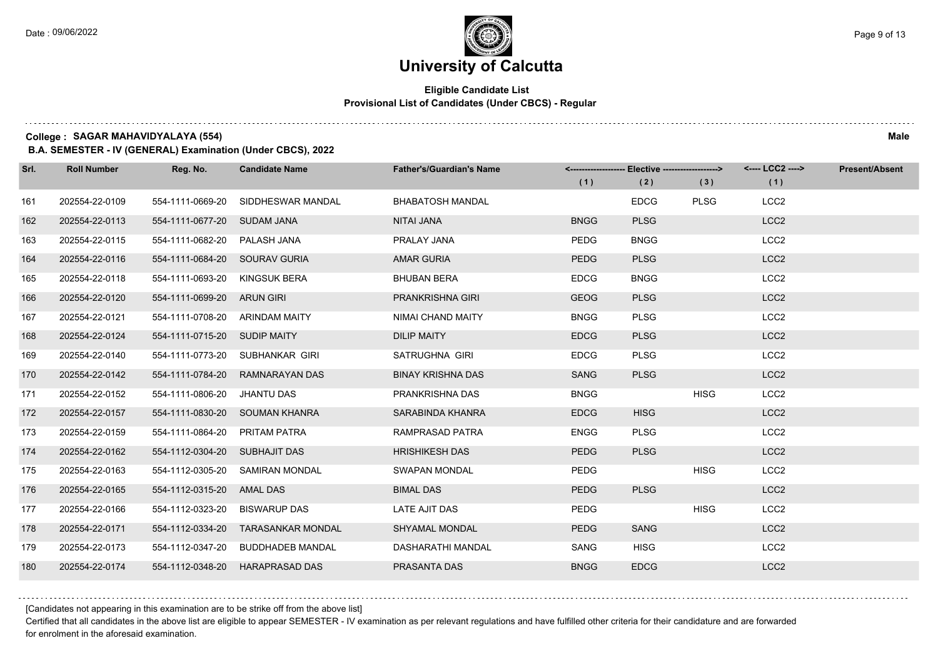#### **Eligible Candidate List Provisional List of Candidates (Under CBCS) - Regular**

**College : SAGAR MAHAVIDYALAYA (554) Male**

**B.A. SEMESTER - IV (GENERAL) Examination (Under CBCS), 2022**

| Srl. | <b>Roll Number</b> | Reg. No.                       | <b>Candidate Name</b>             | <b>Father's/Guardian's Name</b> | (1)         | <-------------------- Elective -------------------><br>(2) | (3)         | <---- LCC2 ----><br>(1) | Present/Absent |
|------|--------------------|--------------------------------|-----------------------------------|---------------------------------|-------------|------------------------------------------------------------|-------------|-------------------------|----------------|
| 161  | 202554-22-0109     | 554-1111-0669-20               | SIDDHESWAR MANDAL                 | <b>BHABATOSH MANDAL</b>         |             | <b>EDCG</b>                                                | <b>PLSG</b> | LCC <sub>2</sub>        |                |
| 162  | 202554-22-0113     | 554-1111-0677-20 SUDAM JANA    |                                   | NITAI JANA                      | <b>BNGG</b> | <b>PLSG</b>                                                |             | LCC <sub>2</sub>        |                |
| 163  | 202554-22-0115     | 554-1111-0682-20 PALASH JANA   |                                   | PRALAY JANA                     | PEDG        | <b>BNGG</b>                                                |             | LCC <sub>2</sub>        |                |
| 164  | 202554-22-0116     | 554-1111-0684-20 SOURAV GURIA  |                                   | <b>AMAR GURIA</b>               | <b>PEDG</b> | <b>PLSG</b>                                                |             | LCC <sub>2</sub>        |                |
| 165  | 202554-22-0118     | 554-1111-0693-20               | KINGSUK BERA                      | <b>BHUBAN BERA</b>              | <b>EDCG</b> | <b>BNGG</b>                                                |             | LCC <sub>2</sub>        |                |
| 166  | 202554-22-0120     | 554-1111-0699-20 ARUN GIRI     |                                   | PRANKRISHNA GIRI                | <b>GEOG</b> | <b>PLSG</b>                                                |             | LCC <sub>2</sub>        |                |
| 167  | 202554-22-0121     | 554-1111-0708-20 ARINDAM MAITY |                                   | NIMAI CHAND MAITY               | <b>BNGG</b> | <b>PLSG</b>                                                |             | LCC <sub>2</sub>        |                |
| 168  | 202554-22-0124     | 554-1111-0715-20 SUDIP MAITY   |                                   | <b>DILIP MAITY</b>              | <b>EDCG</b> | <b>PLSG</b>                                                |             | LCC <sub>2</sub>        |                |
| 169  | 202554-22-0140     |                                | 554-1111-0773-20 SUBHANKAR GIRI   | SATRUGHNA GIRI                  | <b>EDCG</b> | <b>PLSG</b>                                                |             | LCC <sub>2</sub>        |                |
| 170  | 202554-22-0142     | 554-1111-0784-20               | RAMNARAYAN DAS                    | <b>BINAY KRISHNA DAS</b>        | SANG        | <b>PLSG</b>                                                |             | LCC <sub>2</sub>        |                |
| 171  | 202554-22-0152     | 554-1111-0806-20               | JHANTU DAS                        | PRANKRISHNA DAS                 | <b>BNGG</b> |                                                            | <b>HISG</b> | LCC <sub>2</sub>        |                |
| 172  | 202554-22-0157     |                                | 554-1111-0830-20 SOUMAN KHANRA    | SARABINDA KHANRA                | <b>EDCG</b> | <b>HISG</b>                                                |             | LCC <sub>2</sub>        |                |
| 173  | 202554-22-0159     | 554-1111-0864-20 PRITAM PATRA  |                                   | RAMPRASAD PATRA                 | ENGG        | <b>PLSG</b>                                                |             | LCC <sub>2</sub>        |                |
| 174  | 202554-22-0162     | 554-1112-0304-20               | SUBHAJIT DAS                      | <b>HRISHIKESH DAS</b>           | <b>PEDG</b> | <b>PLSG</b>                                                |             | LCC <sub>2</sub>        |                |
| 175  | 202554-22-0163     |                                | 554-1112-0305-20 SAMIRAN MONDAL   | <b>SWAPAN MONDAL</b>            | <b>PEDG</b> |                                                            | <b>HISG</b> | LCC <sub>2</sub>        |                |
| 176  | 202554-22-0165     | 554-1112-0315-20 AMAL DAS      |                                   | <b>BIMAL DAS</b>                | <b>PEDG</b> | <b>PLSG</b>                                                |             | LCC <sub>2</sub>        |                |
| 177  | 202554-22-0166     | 554-1112-0323-20               | <b>BISWARUP DAS</b>               | LATE AJIT DAS                   | <b>PEDG</b> |                                                            | <b>HISG</b> | LCC <sub>2</sub>        |                |
| 178  | 202554-22-0171     | 554-1112-0334-20               | <b>TARASANKAR MONDAL</b>          | <b>SHYAMAL MONDAL</b>           | <b>PEDG</b> | SANG                                                       |             | LCC <sub>2</sub>        |                |
| 179  | 202554-22-0173     |                                | 554-1112-0347-20 BUDDHADEB MANDAL | DASHARATHI MANDAL               | SANG        | <b>HISG</b>                                                |             | LCC <sub>2</sub>        |                |
| 180  | 202554-22-0174     |                                | 554-1112-0348-20 HARAPRASAD DAS   | PRASANTA DAS                    | <b>BNGG</b> | <b>EDCG</b>                                                |             | LCC <sub>2</sub>        |                |

[Candidates not appearing in this examination are to be strike off from the above list]

Certified that all candidates in the above list are eligible to appear SEMESTER - IV examination as per relevant regulations and have fulfilled other criteria for their candidature and are forwarded for enrolment in the aforesaid examination.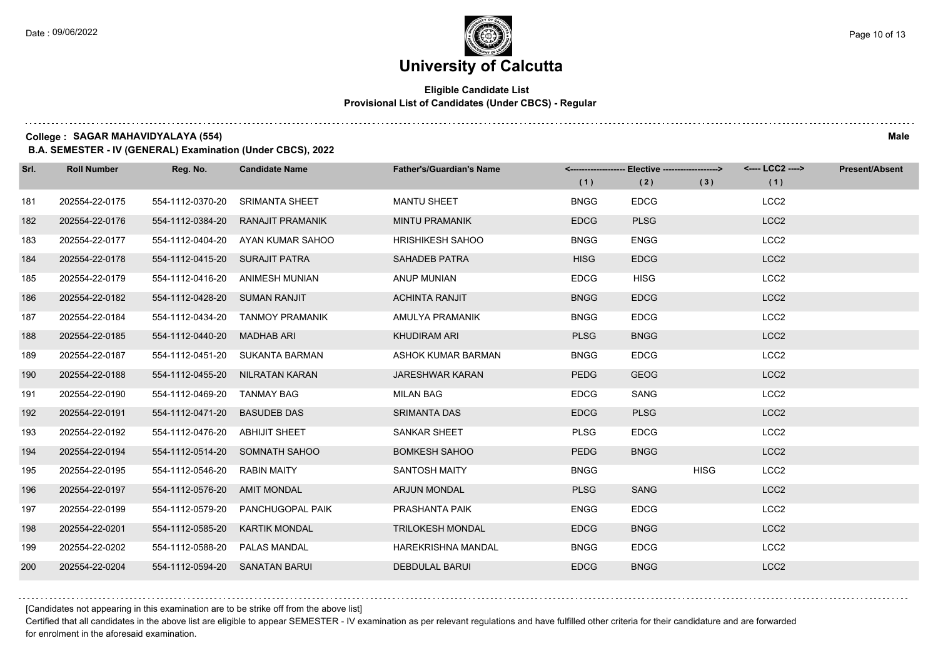### **Eligible Candidate List Provisional List of Candidates (Under CBCS) - Regular**

**College : SAGAR MAHAVIDYALAYA (554) Male**

**B.A. SEMESTER - IV (GENERAL) Examination (Under CBCS), 2022**

| Srl. | <b>Roll Number</b> | Reg. No.                       | <b>Candidate Name</b>           | <b>Father's/Guardian's Name</b> |             | <-------------------- Elective -------------------> |             | <---- LCC2 ----> | <b>Present/Absent</b> |
|------|--------------------|--------------------------------|---------------------------------|---------------------------------|-------------|-----------------------------------------------------|-------------|------------------|-----------------------|
|      |                    |                                |                                 |                                 | (1)         | (2)                                                 | (3)         | (1)              |                       |
| 181  | 202554-22-0175     | 554-1112-0370-20               | <b>SRIMANTA SHEET</b>           | <b>MANTU SHEET</b>              | <b>BNGG</b> | <b>EDCG</b>                                         |             | LCC <sub>2</sub> |                       |
| 182  | 202554-22-0176     | 554-1112-0384-20               | RANAJIT PRAMANIK                | <b>MINTU PRAMANIK</b>           | <b>EDCG</b> | <b>PLSG</b>                                         |             | LCC <sub>2</sub> |                       |
| 183  | 202554-22-0177     | 554-1112-0404-20               | AYAN KUMAR SAHOO                | <b>HRISHIKESH SAHOO</b>         | <b>BNGG</b> | <b>ENGG</b>                                         |             | LCC <sub>2</sub> |                       |
| 184  | 202554-22-0178     | 554-1112-0415-20 SURAJIT PATRA |                                 | SAHADEB PATRA                   | <b>HISG</b> | <b>EDCG</b>                                         |             | LCC <sub>2</sub> |                       |
| 185  | 202554-22-0179     | 554-1112-0416-20               | ANIMESH MUNIAN                  | ANUP MUNIAN                     | <b>EDCG</b> | <b>HISG</b>                                         |             | LCC <sub>2</sub> |                       |
| 186  | 202554-22-0182     | 554-1112-0428-20               | <b>SUMAN RANJIT</b>             | <b>ACHINTA RANJIT</b>           | <b>BNGG</b> | <b>EDCG</b>                                         |             | LCC <sub>2</sub> |                       |
| 187  | 202554-22-0184     | 554-1112-0434-20               | <b>TANMOY PRAMANIK</b>          | AMULYA PRAMANIK                 | <b>BNGG</b> | <b>EDCG</b>                                         |             | LCC <sub>2</sub> |                       |
| 188  | 202554-22-0185     | 554-1112-0440-20               | MADHAB ARI                      | <b>KHUDIRAM ARI</b>             | <b>PLSG</b> | <b>BNGG</b>                                         |             | LCC <sub>2</sub> |                       |
| 189  | 202554-22-0187     | 554-1112-0451-20               | SUKANTA BARMAN                  | ASHOK KUMAR BARMAN              | <b>BNGG</b> | <b>EDCG</b>                                         |             | LCC <sub>2</sub> |                       |
| 190  | 202554-22-0188     |                                | 554-1112-0455-20 NILRATAN KARAN | <b>JARESHWAR KARAN</b>          | <b>PEDG</b> | <b>GEOG</b>                                         |             | LCC <sub>2</sub> |                       |
| 191  | 202554-22-0190     | 554-1112-0469-20 TANMAY BAG    |                                 | <b>MILAN BAG</b>                | <b>EDCG</b> | SANG                                                |             | LCC <sub>2</sub> |                       |
| 192  | 202554-22-0191     | 554-1112-0471-20               | <b>BASUDEB DAS</b>              | <b>SRIMANTA DAS</b>             | <b>EDCG</b> | <b>PLSG</b>                                         |             | LCC <sub>2</sub> |                       |
| 193  | 202554-22-0192     | 554-1112-0476-20               | <b>ABHIJIT SHEET</b>            | <b>SANKAR SHEET</b>             | <b>PLSG</b> | <b>EDCG</b>                                         |             | LCC <sub>2</sub> |                       |
| 194  | 202554-22-0194     |                                | 554-1112-0514-20 SOMNATH SAHOO  | <b>BOMKESH SAHOO</b>            | <b>PEDG</b> | <b>BNGG</b>                                         |             | LCC <sub>2</sub> |                       |
| 195  | 202554-22-0195     | 554-1112-0546-20               | <b>RABIN MAITY</b>              | SANTOSH MAITY                   | <b>BNGG</b> |                                                     | <b>HISG</b> | LCC <sub>2</sub> |                       |
| 196  | 202554-22-0197     | 554-1112-0576-20               | <b>AMIT MONDAL</b>              | <b>ARJUN MONDAL</b>             | <b>PLSG</b> | <b>SANG</b>                                         |             | LCC <sub>2</sub> |                       |
| 197  | 202554-22-0199     | 554-1112-0579-20               | PANCHUGOPAL PAIK                | PRASHANTA PAIK                  | <b>ENGG</b> | <b>EDCG</b>                                         |             | LCC <sub>2</sub> |                       |
| 198  | 202554-22-0201     | 554-1112-0585-20               | <b>KARTIK MONDAL</b>            | <b>TRILOKESH MONDAL</b>         | <b>EDCG</b> | <b>BNGG</b>                                         |             | LCC <sub>2</sub> |                       |
| 199  | 202554-22-0202     | 554-1112-0588-20               | PALAS MANDAL                    | <b>HAREKRISHNA MANDAL</b>       | <b>BNGG</b> | <b>EDCG</b>                                         |             | LCC <sub>2</sub> |                       |
| 200  | 202554-22-0204     | 554-1112-0594-20 SANATAN BARUI |                                 | <b>DEBDULAL BARUI</b>           | <b>EDCG</b> | <b>BNGG</b>                                         |             | LCC <sub>2</sub> |                       |

[Candidates not appearing in this examination are to be strike off from the above list]

Certified that all candidates in the above list are eligible to appear SEMESTER - IV examination as per relevant regulations and have fulfilled other criteria for their candidature and are forwarded for enrolment in the aforesaid examination.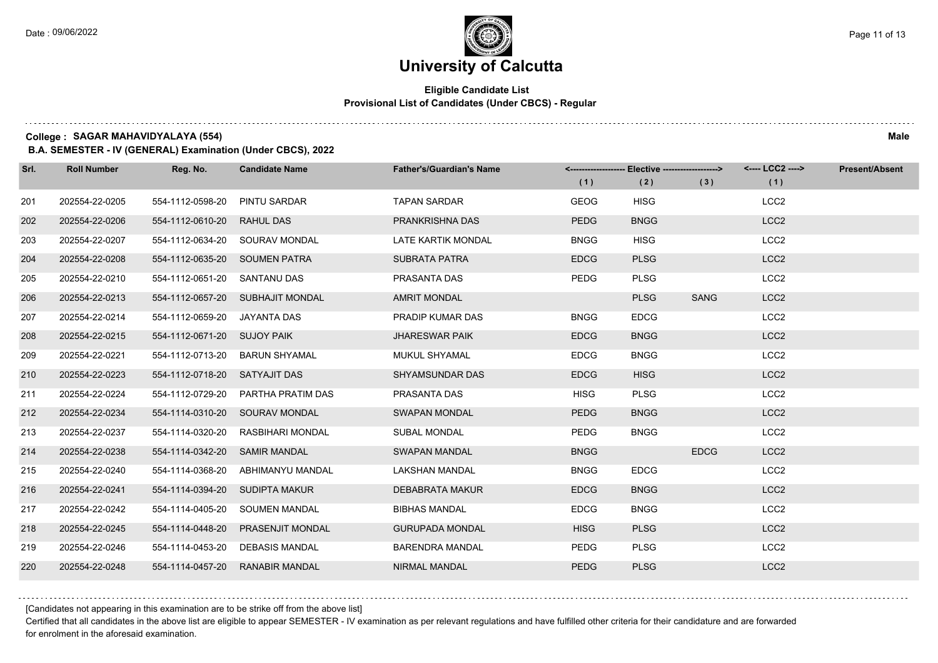### **Eligible Candidate List Provisional List of Candidates (Under CBCS) - Regular**

**College : SAGAR MAHAVIDYALAYA (554) Male**

**B.A. SEMESTER - IV (GENERAL) Examination (Under CBCS), 2022**

| Srl. | <b>Roll Number</b> | Reg. No.                    | <b>Candidate Name</b>          | <b>Father's/Guardian's Name</b> | (1)         | <------------------- Elective ------------------><br>(2) | (3)         | <---- LCC2 ----><br>(1) | <b>Present/Absent</b> |
|------|--------------------|-----------------------------|--------------------------------|---------------------------------|-------------|----------------------------------------------------------|-------------|-------------------------|-----------------------|
| 201  | 202554-22-0205     | 554-1112-0598-20            | PINTU SARDAR                   | <b>TAPAN SARDAR</b>             | <b>GEOG</b> | <b>HISG</b>                                              |             | LCC <sub>2</sub>        |                       |
| 202  | 202554-22-0206     | 554-1112-0610-20            | <b>RAHUL DAS</b>               | PRANKRISHNA DAS                 | <b>PEDG</b> | <b>BNGG</b>                                              |             | LCC <sub>2</sub>        |                       |
| 203  | 202554-22-0207     |                             | 554-1112-0634-20 SOURAV MONDAL | <b>LATE KARTIK MONDAL</b>       | <b>BNGG</b> | <b>HISG</b>                                              |             | LCC <sub>2</sub>        |                       |
| 204  | 202554-22-0208     | 554-1112-0635-20            | <b>SOUMEN PATRA</b>            | <b>SUBRATA PATRA</b>            | <b>EDCG</b> | <b>PLSG</b>                                              |             | LCC <sub>2</sub>        |                       |
| 205  | 202554-22-0210     | 554-1112-0651-20            | <b>SANTANU DAS</b>             | PRASANTA DAS                    | <b>PEDG</b> | <b>PLSG</b>                                              |             | LCC <sub>2</sub>        |                       |
| 206  | 202554-22-0213     | 554-1112-0657-20            | <b>SUBHAJIT MONDAL</b>         | <b>AMRIT MONDAL</b>             |             | <b>PLSG</b>                                              | SANG        | LCC <sub>2</sub>        |                       |
| 207  | 202554-22-0214     | 554-1112-0659-20            | JAYANTA DAS                    | PRADIP KUMAR DAS                | <b>BNGG</b> | <b>EDCG</b>                                              |             | LCC <sub>2</sub>        |                       |
| 208  | 202554-22-0215     | 554-1112-0671-20 SUJOY PAIK |                                | <b>JHARESWAR PAIK</b>           | <b>EDCG</b> | <b>BNGG</b>                                              |             | LCC <sub>2</sub>        |                       |
| 209  | 202554-22-0221     | 554-1112-0713-20            | <b>BARUN SHYAMAL</b>           | MUKUL SHYAMAL                   | <b>EDCG</b> | <b>BNGG</b>                                              |             | LCC <sub>2</sub>        |                       |
| 210  | 202554-22-0223     | 554-1112-0718-20            | SATYAJIT DAS                   | <b>SHYAMSUNDAR DAS</b>          | <b>EDCG</b> | <b>HISG</b>                                              |             | LCC <sub>2</sub>        |                       |
| 211  | 202554-22-0224     | 554-1112-0729-20            | PARTHA PRATIM DAS              | PRASANTA DAS                    | <b>HISG</b> | <b>PLSG</b>                                              |             | LCC <sub>2</sub>        |                       |
| 212  | 202554-22-0234     | 554-1114-0310-20            | <b>SOURAV MONDAL</b>           | <b>SWAPAN MONDAL</b>            | <b>PEDG</b> | <b>BNGG</b>                                              |             | LCC <sub>2</sub>        |                       |
| 213  | 202554-22-0237     | 554-1114-0320-20            | <b>RASBIHARI MONDAL</b>        | <b>SUBAL MONDAL</b>             | <b>PEDG</b> | <b>BNGG</b>                                              |             | LCC <sub>2</sub>        |                       |
| 214  | 202554-22-0238     | 554-1114-0342-20            | <b>SAMIR MANDAL</b>            | <b>SWAPAN MANDAL</b>            | <b>BNGG</b> |                                                          | <b>EDCG</b> | LCC <sub>2</sub>        |                       |
| 215  | 202554-22-0240     | 554-1114-0368-20            | ABHIMANYU MANDAL               | <b>LAKSHAN MANDAL</b>           | <b>BNGG</b> | <b>EDCG</b>                                              |             | LCC <sub>2</sub>        |                       |
| 216  | 202554-22-0241     | 554-1114-0394-20            | <b>SUDIPTA MAKUR</b>           | DEBABRATA MAKUR                 | <b>EDCG</b> | <b>BNGG</b>                                              |             | LCC <sub>2</sub>        |                       |
| 217  | 202554-22-0242     | 554-1114-0405-20            | <b>SOUMEN MANDAL</b>           | <b>BIBHAS MANDAL</b>            | <b>EDCG</b> | <b>BNGG</b>                                              |             | LCC <sub>2</sub>        |                       |
| 218  | 202554-22-0245     | 554-1114-0448-20            | PRASENJIT MONDAL               | <b>GURUPADA MONDAL</b>          | <b>HISG</b> | <b>PLSG</b>                                              |             | LCC <sub>2</sub>        |                       |
| 219  | 202554-22-0246     | 554-1114-0453-20            | <b>DEBASIS MANDAL</b>          | <b>BARENDRA MANDAL</b>          | PEDG        | <b>PLSG</b>                                              |             | LCC <sub>2</sub>        |                       |
| 220  | 202554-22-0248     | 554-1114-0457-20            | <b>RANABIR MANDAL</b>          | <b>NIRMAL MANDAL</b>            | <b>PEDG</b> | <b>PLSG</b>                                              |             | LCC <sub>2</sub>        |                       |

[Candidates not appearing in this examination are to be strike off from the above list]

Certified that all candidates in the above list are eligible to appear SEMESTER - IV examination as per relevant regulations and have fulfilled other criteria for their candidature and are forwarded for enrolment in the aforesaid examination.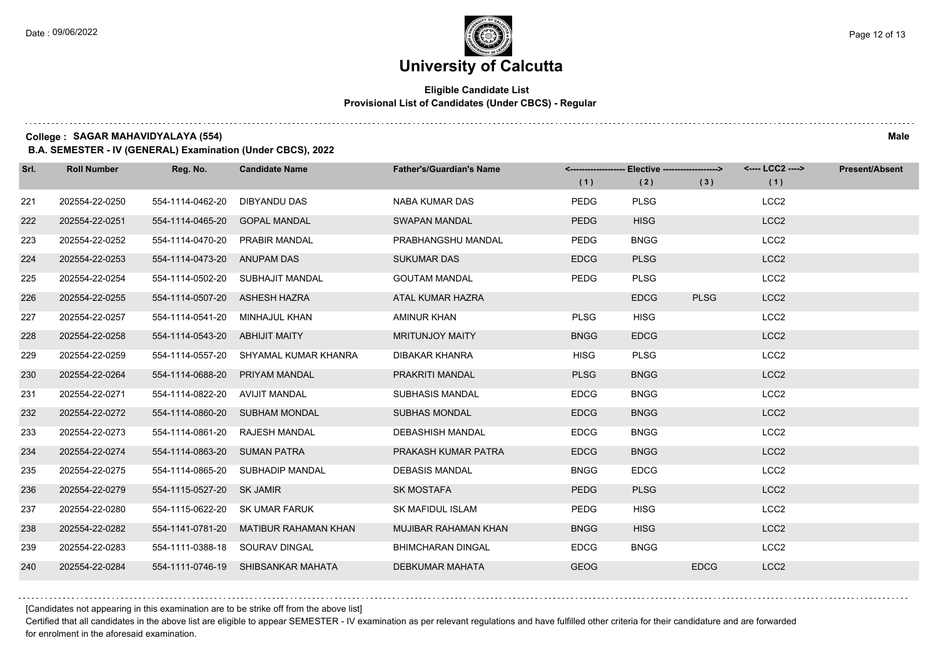### **Eligible Candidate List Provisional List of Candidates (Under CBCS) - Regular**

**College : SAGAR MAHAVIDYALAYA (554) Male**

**B.A. SEMESTER - IV (GENERAL) Examination (Under CBCS), 2022**

| Srl. | <b>Roll Number</b> | Reg. No.                  | <b>Candidate Name</b>              | <b>Father's/Guardian's Name</b> |             | <-------------------- Elective -------------------> |             | <---- LCC2 ----> | <b>Present/Absent</b> |
|------|--------------------|---------------------------|------------------------------------|---------------------------------|-------------|-----------------------------------------------------|-------------|------------------|-----------------------|
|      |                    |                           |                                    |                                 | (1)         | (2)                                                 | (3)         | (1)              |                       |
| 221  | 202554-22-0250     | 554-1114-0462-20          | <b>DIBYANDU DAS</b>                | NABA KUMAR DAS                  | <b>PEDG</b> | <b>PLSG</b>                                         |             | LCC <sub>2</sub> |                       |
| 222  | 202554-22-0251     | 554-1114-0465-20          | <b>GOPAL MANDAL</b>                | <b>SWAPAN MANDAL</b>            | <b>PEDG</b> | <b>HISG</b>                                         |             | LCC <sub>2</sub> |                       |
| 223  | 202554-22-0252     | 554-1114-0470-20          | PRABIR MANDAL                      | PRABHANGSHU MANDAL              | <b>PEDG</b> | <b>BNGG</b>                                         |             | LCC <sub>2</sub> |                       |
| 224  | 202554-22-0253     | 554-1114-0473-20          | <b>ANUPAM DAS</b>                  | <b>SUKUMAR DAS</b>              | <b>EDCG</b> | <b>PLSG</b>                                         |             | LCC <sub>2</sub> |                       |
| 225  | 202554-22-0254     | 554-1114-0502-20          | SUBHAJIT MANDAL                    | <b>GOUTAM MANDAL</b>            | <b>PEDG</b> | <b>PLSG</b>                                         |             | LCC <sub>2</sub> |                       |
| 226  | 202554-22-0255     | 554-1114-0507-20          | <b>ASHESH HAZRA</b>                | ATAL KUMAR HAZRA                |             | <b>EDCG</b>                                         | <b>PLSG</b> | LCC <sub>2</sub> |                       |
| 227  | 202554-22-0257     | 554-1114-0541-20          | MINHAJUL KHAN                      | AMINUR KHAN                     | <b>PLSG</b> | <b>HISG</b>                                         |             | LCC <sub>2</sub> |                       |
| 228  | 202554-22-0258     | 554-1114-0543-20          | <b>ABHIJIT MAITY</b>               | <b>MRITUNJOY MAITY</b>          | <b>BNGG</b> | <b>EDCG</b>                                         |             | LCC <sub>2</sub> |                       |
| 229  | 202554-22-0259     | 554-1114-0557-20          | SHYAMAL KUMAR KHANRA               | DIBAKAR KHANRA                  | <b>HISG</b> | <b>PLSG</b>                                         |             | LCC <sub>2</sub> |                       |
| 230  | 202554-22-0264     | 554-1114-0688-20          | PRIYAM MANDAL                      | PRAKRITI MANDAL                 | <b>PLSG</b> | <b>BNGG</b>                                         |             | LCC <sub>2</sub> |                       |
| 231  | 202554-22-0271     | 554-1114-0822-20          | AVIJIT MANDAL                      | <b>SUBHASIS MANDAL</b>          | <b>EDCG</b> | <b>BNGG</b>                                         |             | LCC <sub>2</sub> |                       |
| 232  | 202554-22-0272     | 554-1114-0860-20          | <b>SUBHAM MONDAL</b>               | <b>SUBHAS MONDAL</b>            | <b>EDCG</b> | <b>BNGG</b>                                         |             | LCC <sub>2</sub> |                       |
| 233  | 202554-22-0273     | 554-1114-0861-20          | <b>RAJESH MANDAL</b>               | <b>DEBASHISH MANDAL</b>         | <b>EDCG</b> | <b>BNGG</b>                                         |             | LCC <sub>2</sub> |                       |
| 234  | 202554-22-0274     | 554-1114-0863-20          | <b>SUMAN PATRA</b>                 | PRAKASH KUMAR PATRA             | <b>EDCG</b> | <b>BNGG</b>                                         |             | LCC <sub>2</sub> |                       |
| 235  | 202554-22-0275     | 554-1114-0865-20          | SUBHADIP MANDAL                    | <b>DEBASIS MANDAL</b>           | <b>BNGG</b> | <b>EDCG</b>                                         |             | LCC <sub>2</sub> |                       |
| 236  | 202554-22-0279     | 554-1115-0527-20 SK JAMIR |                                    | <b>SK MOSTAFA</b>               | <b>PEDG</b> | <b>PLSG</b>                                         |             | LCC <sub>2</sub> |                       |
| 237  | 202554-22-0280     | 554-1115-0622-20          | <b>SK UMAR FARUK</b>               | <b>SK MAFIDUL ISLAM</b>         | PEDG        | <b>HISG</b>                                         |             | LCC <sub>2</sub> |                       |
| 238  | 202554-22-0282     | 554-1141-0781-20          | MATIBUR RAHAMAN KHAN               | MUJIBAR RAHAMAN KHAN            | <b>BNGG</b> | <b>HISG</b>                                         |             | LCC <sub>2</sub> |                       |
| 239  | 202554-22-0283     | 554-1111-0388-18          | SOURAV DINGAL                      | <b>BHIMCHARAN DINGAL</b>        | <b>EDCG</b> | <b>BNGG</b>                                         |             | LCC <sub>2</sub> |                       |
| 240  | 202554-22-0284     |                           | 554-1111-0746-19 SHIBSANKAR MAHATA | <b>DEBKUMAR MAHATA</b>          | <b>GEOG</b> |                                                     | <b>EDCG</b> | LCC <sub>2</sub> |                       |

[Candidates not appearing in this examination are to be strike off from the above list]

Certified that all candidates in the above list are eligible to appear SEMESTER - IV examination as per relevant regulations and have fulfilled other criteria for their candidature and are forwarded for enrolment in the aforesaid examination.